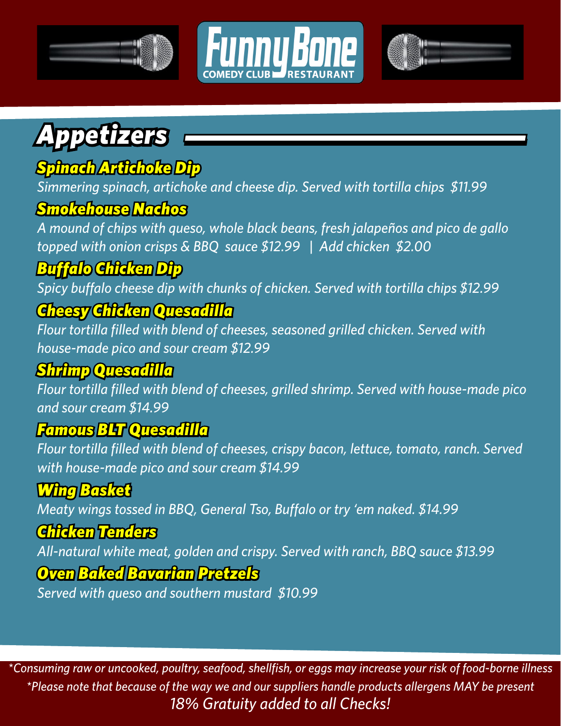





## *Appetizers*

### *Spinach Artichoke Dip*

*Simmering spinach, artichoke and cheese dip. Served with tortilla chips \$11.99*

### *Smokehouse Nachos*

*A mound of chips with queso, whole black beans, fresh jalapeños and pico de gallo topped with onion crisps & BBQ sauce \$12.99 | Add chicken \$2.00*

### *Buffalo Chicken Dip*

*Spicy buffalo cheese dip with chunks of chicken. Served with tortilla chips \$12.99*

### *Cheesy Chicken Quesadilla*

*Flour tortilla filled with blend of cheeses, seasoned grilled chicken. Served with house-made pico and sour cream \$12.99*

### *Shrimp Quesadilla*

*Flour tortilla filled with blend of cheeses, grilled shrimp. Served with house-made pico and sour cream \$14.99*

#### *Famous BLT Quesadilla*

*Flour tortilla filled with blend of cheeses, crispy bacon, lettuce, tomato, ranch. Served with house-made pico and sour cream \$14.99*

### *Wing Basket*

*Meaty wings tossed in BBQ, General Tso, Buffalo or try 'em naked. \$14.99*

#### *Chicken Tenders*

*All-natural white meat, golden and crispy. Served with ranch, BBQ sauce \$13.99* 

#### *Oven Baked Bavarian Pretzels*

*Served with queso and southern mustard \$10.99*

*\*Consuming raw or uncooked, poultry, seafood, shellfish, or eggs may increase your risk of food-borne illness \*Please note that because of the way we and our suppliers handle products allergens MAY be present 18% Gratuity added to all Checks!*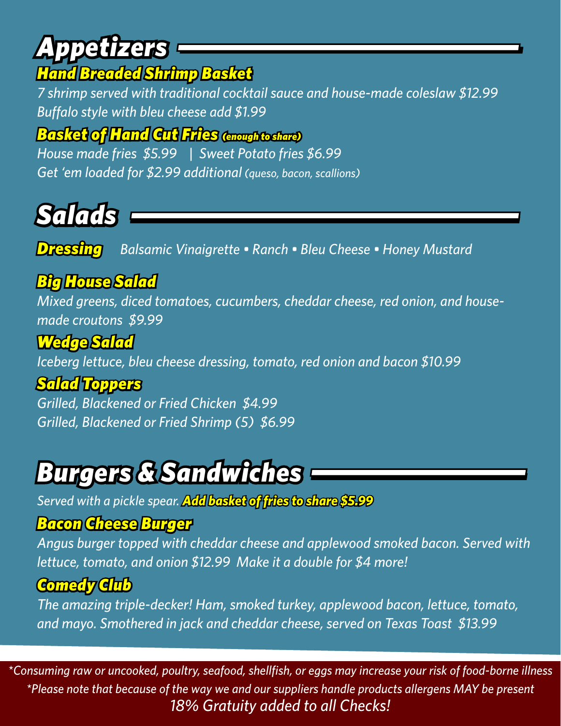# *Appetizers*

### *Hand Breaded Shrimp Basket*

*7 shrimp served with traditional cocktail sauce and house-made coleslaw \$12.99 Buffalo style with bleu cheese add \$1.99*

*Basket of Hand Cut Fries (enough to share)*

*House made fries \$5.99 | Sweet Potato fries \$6.99 Get 'em loaded for \$2.99 additional (queso, bacon, scallions)*

# *Salads*

*Dressing Balsamic Vinaigrette • Ranch • Bleu Cheese • Honey Mustard*

### *Big House Salad*

*Mixed greens, diced tomatoes, cucumbers, cheddar cheese, red onion, and housemade croutons \$9.99*

### *Wedge Salad*

*Iceberg lettuce, bleu cheese dressing, tomato, red onion and bacon \$10.99*

### *Salad Toppers*

*Grilled, Blackened or Fried Chicken \$4.99 Grilled, Blackened or Fried Shrimp (5) \$6.99*

## *Burgers & Sandwiches*

*Served with a pickle spear. Add basket of fries to share \$5.99*

#### *Bacon Cheese Burger*

*Angus burger topped with cheddar cheese and applewood smoked bacon. Served with lettuce, tomato, and onion \$12.99 Make it a double for \$4 more!*

### *Comedy Club*

*The amazing triple-decker! Ham, smoked turkey, applewood bacon, lettuce, tomato, and mayo. Smothered in jack and cheddar cheese, served on Texas Toast \$13.99*

*\*Consuming raw or uncooked, poultry, seafood, shellfish, or eggs may increase your risk of food-borne illness \*Please note that because of the way we and our suppliers handle products allergens MAY be present 18% Gratuity added to all Checks!*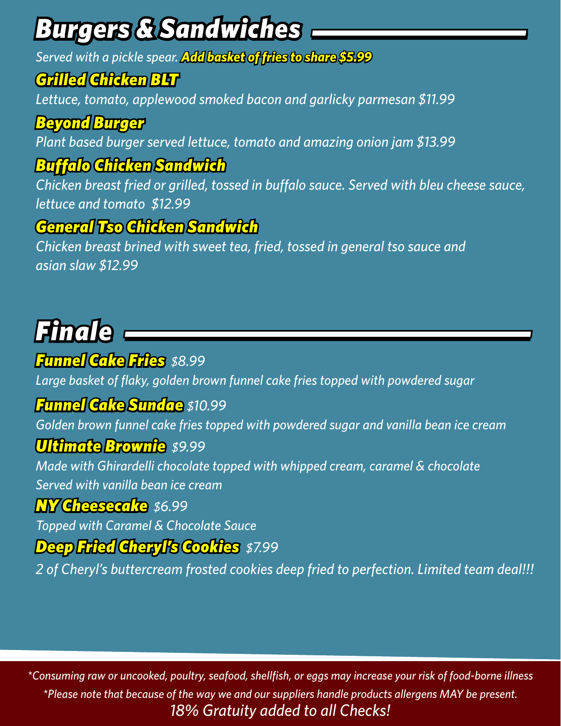# *Burgers & Sandwiches*

*Served with a pickle spear. Add basket of fries to share \$5.99*

### *Grilled Chicken BLT*

*Lettuce, tomato, applewood smoked bacon and garlicky parmesan \$11.99*

### *Beyond Burger*

*Plant based burger served lettuce, tomato and amazing onion jam \$13.99*

### *Buffalo Chicken Sandwich*

*Chicken breast fried or grilled, tossed in buffalo sauce. Served with bleu cheese sauce, lettuce and tomato \$12.99*

### *General Tso Chicken Sandwich*

*Chicken breast brined with sweet tea, fried, tossed in general tso sauce and asian slaw \$12.99*

# *Finale*

### *Funnel Cake Fries \$8.99*

*Large basket of flaky, golden brown funnel cake fries topped with powdered sugar*

#### *Funnel Cake Sundae \$10.99*

*Golden brown funnel cake fries topped with powdered sugar and vanilla bean ice cream*

#### *Ultimate Brownie \$9.99*

*Made with Ghirardelli chocolate topped with whipped cream, caramel & chocolate Served with vanilla bean ice cream*

#### *NY Cheesecake \$6.99*

*Topped with Caramel & Chocolate Sauce*

#### *Deep Fried Cheryl's Cookies \$7.99*

*2 of Cheryl's buttercream frosted cookies deep fried to perfection. Limited team deal!!!*

*\*Consuming raw or uncooked, poultry, seafood, shellfish, or eggs may increase your risk of food-borne illness \*Please note that because of the way we and our suppliers handle products allergens MAY be present. 18% Gratuity added to all Checks!*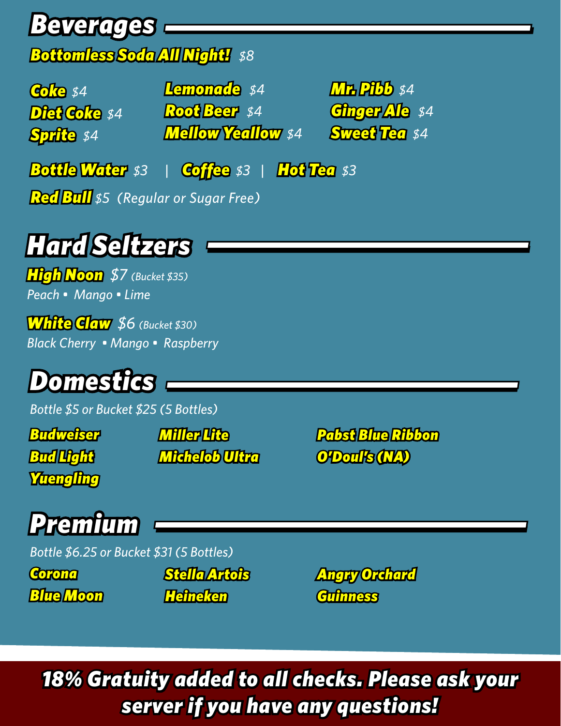## *Beverages*

### *Bottomless Soda All Night! \$8*

*Coke \$4 Diet Coke \$4 Sprite \$4*

*Lemonade \$4 Root Beer \$4 Mellow Yeallow \$4* *Mr. Pibb \$4 Ginger Ale \$4 Sweet Tea \$4*

*Bottle Water \$3 | Coffee \$3 | Hot Tea \$3*

*Red Bull \$5 (Regular or Sugar Free)*

## *Hard Seltzers*

*High Noon \$7 (Bucket \$35) Peach • Mango • Lime*

*White Claw \$6 (Bucket \$30) Black Cherry • Mango • Raspberry* 

## *Domestics*

*Bottle \$5 or Bucket \$25 (5 Bottles)*

*Budweiser Bud Light Yuengling*

*Miller Lite Michelob Ultra* *Pabst Blue Ribbon O'Doul's (NA)*

# *Premium*

*Bottle \$6.25 or Bucket \$31 (5 Bottles)*

*Corona Blue Moon*  *Stella Artois Heineken*

*Angry Orchard Guinness*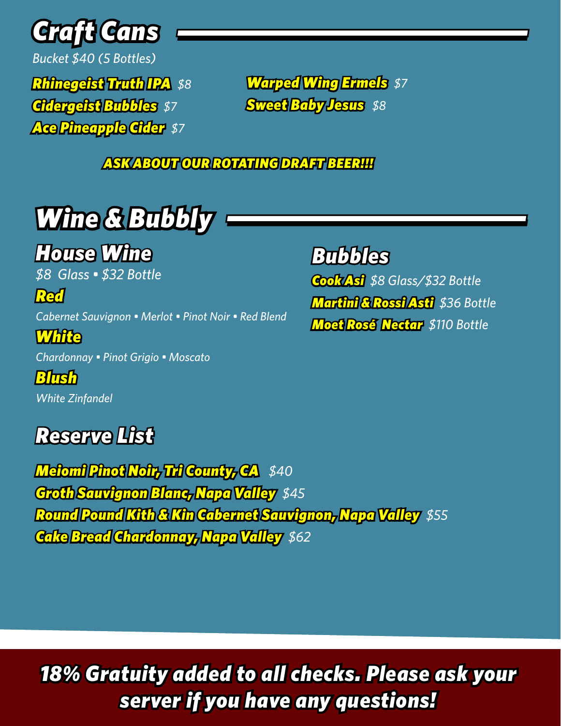

*Bucket \$40 (5 Bottles)*

*Rhinegeist Truth IPA \$8 Cidergeist Bubbles \$7 Ace Pineapple Cider \$7*

*Warped Wing Ermels \$7 Sweet Baby Jesus \$8*

 *ASK ABOUT OUR ROTATING DRAFT BEER!!!*

# *Wine & Bubbly*

### *House Wine*

*\$8 Glass • \$32 Bottle*

*Red Cabernet Sauvignon • Merlot • Pinot Noir • Red Blend*

*White Chardonnay • Pinot Grigio • Moscato* 

*Blush White Zinfandel* 

### *Reserve List*

*Bubbles*

*Cook Asi \$8 Glass/\$32 Bottle Martini & Rossi Asti \$36 Bottle Moet Rosé Nectar \$110 Bottle*

*Meiomi Pinot Noir, Tri County, CA \$40 Groth Sauvignon Blanc, Napa Valley \$45 Round Pound Kith & Kin Cabernet Sauvignon, Napa Valley \$55 Cake Bread Chardonnay, Napa Valley \$62*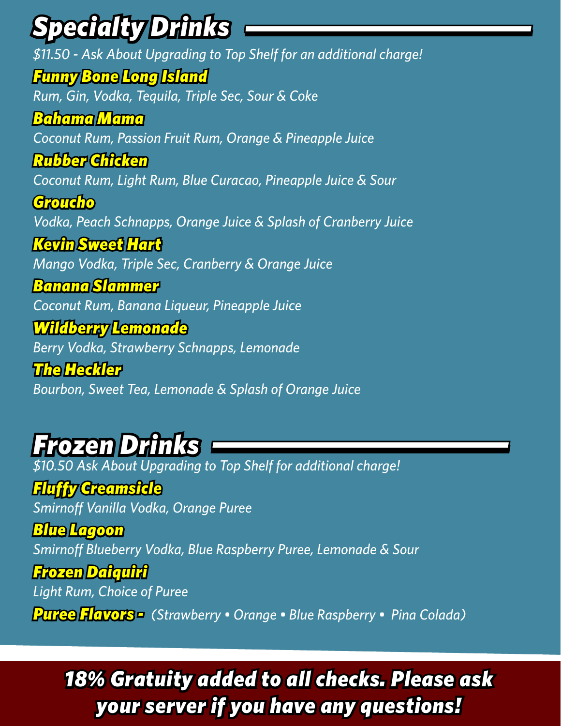# *Specialty Drinks*

*\$11.50 - Ask About Upgrading to Top Shelf for an additional charge! Funny Bone Long Island Rum, Gin, Vodka, Tequila, Triple Sec, Sour & Coke Bahama Mama Coconut Rum, Passion Fruit Rum, Orange & Pineapple Juice Rubber Chicken Coconut Rum, Light Rum, Blue Curacao, Pineapple Juice & Sour Groucho Vodka, Peach Schnapps, Orange Juice & Splash of Cranberry Juice Kevin Sweet Hart Mango Vodka, Triple Sec, Cranberry & Orange Juice Banana Slammer Coconut Rum, Banana Liqueur, Pineapple Juice Wildberry Lemonade Berry Vodka, Strawberry Schnapps, Lemonade The Heckler Bourbon, Sweet Tea, Lemonade & Splash of Orange Juice*

### *Frozen Drinks*

*\$10.50 Ask About Upgrading to Top Shelf for additional charge!*

*Fluffy Creamsicle*

*Smirnoff Vanilla Vodka, Orange Puree*

*Blue Lagoon Smirnoff Blueberry Vodka, Blue Raspberry Puree, Lemonade & Sour*

*Frozen Daiquiri Light Rum, Choice of Puree Puree Flavors - (Strawberry • Orange • Blue Raspberry • Pina Colada)*